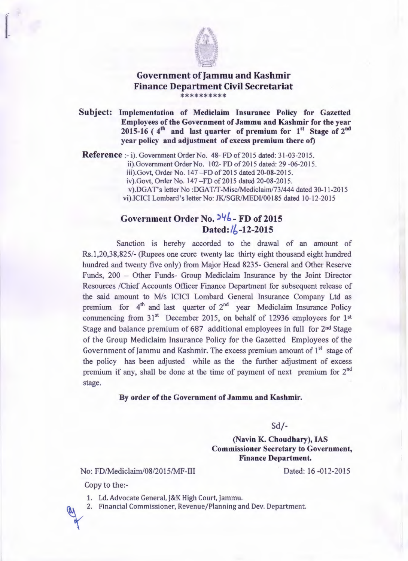

## Government of Jammu and Kashmir Finance Department Civil Secretariat \*\*\*\*\*\*\*\*\*

Subject: Implementation of Mediclaim Insurance Policy for Gazetted Employees of the Government of Jammu and Kashmir for the year 2015-16 ( $4<sup>th</sup>$  and last quarter of premium for  $1<sup>st</sup>$  Stage of  $2<sup>nd</sup>$ year policy and adjustment of excess premium there of)

Reference :- i). Government Order No. 48- FD of 2015 dated: 31-03-2015.

ii).Government Order No. 102- FD of 2015 dated: 29 -06-2015.

iii).Govt. Order No. 147-FD of 2015 dated 20-08-2015.

iv).Govt, Order No. 147 - FD of 2015 dated 20-08-2015.

v).DGAT's letter No :DGAT/T-Misc/Mediclaim/73/444 dated 30-11-2015 vi).ICICI Lombard's letter No: JK/SGR/MEDl/00185 dated 10-12-2015

## Government Order No. <sup>24</sup>6 - FD of 2015 Dated:  $\frac{1}{6}$ -12-2015

Sanction is hereby accorded to the drawal of an amount of Rs.1,20,38,825/- (Rupees one crore twenty lac thirty eight thousand eight hundred hundred and twenty five only) from Major Head 8235- General and Other Reserve Funds, 200 - Other Funds- Group Mediclaim Insurance by the Joint Director Resources /Chief Accounts Officer Finance Department for subsequent release of the said amount to *Mis* ICICI Lombard General Insurance Company Ltd as premium for  $4<sup>th</sup>$  and last quarter of  $2<sup>nd</sup>$  year Mediclaim Insurance Policy commencing from  $31<sup>st</sup>$  December 2015, on behalf of 12936 employees for 1<sup>st</sup> Stage and balance premium of 687 additional employees in full for 2<sup>nd</sup> Stage of the Group Mediclaim Insurance Policy for the Gazetted Employees of the Government of Jammu and Kashmir. The excess premium amount of  $1<sup>st</sup>$  stage of the policy has been adjusted while as the the further adjustment of excess premium if any, shall be done at the time of payment of next premium for  $2^{nd}$ stage.

## By order of the Government of Jammu and Kashmir.

Sd/-

(Navin K. Choudhary), IAS Commissioner Secretary to Government, Finance Department.

No: FD/Mediclaim/08/2015/MF-III

Dated: 16 -012-2015

Copy to the:-

1. Ld. Advocate General, J&K High Court, Jammu.

\ 2. Financial Commissioner, Revenue/Planning and Dev. Department.